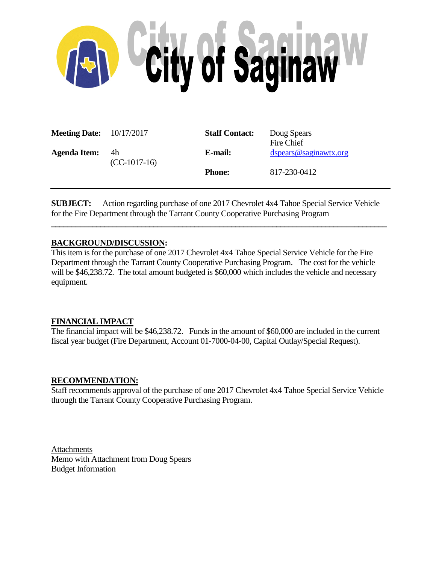

| <b>Meeting Date:</b> $10/17/2017$ |                      | <b>Staff Contact:</b> | Doug Spears<br>Fire Chief |
|-----------------------------------|----------------------|-----------------------|---------------------------|
| <b>Agenda Item:</b>               | 4h<br>$(CC-1017-16)$ | E-mail:               | dspears@saginawtx.org     |
|                                   |                      | <b>Phone:</b>         | 817-230-0412              |

**SUBJECT:** Action regarding purchase of one 2017 Chevrolet 4x4 Tahoe Special Service Vehicle for the Fire Department through the Tarrant County Cooperative Purchasing Program

**\_\_\_\_\_\_\_\_\_\_\_\_\_\_\_\_\_\_\_\_\_\_\_\_\_\_\_\_\_\_\_\_\_\_\_\_\_\_\_\_\_\_\_\_\_\_\_\_\_\_\_\_\_\_\_\_\_\_\_\_\_\_\_\_\_\_\_\_\_\_\_\_\_\_\_\_\_\_\_\_\_\_**

## **BACKGROUND/DISCUSSION:**

This item is for the purchase of one 2017 Chevrolet 4x4 Tahoe Special Service Vehicle for the Fire Department through the Tarrant County Cooperative Purchasing Program. The cost for the vehicle will be \$46,238.72. The total amount budgeted is \$60,000 which includes the vehicle and necessary equipment.

### **FINANCIAL IMPACT**

The financial impact will be \$46,238.72. Funds in the amount of \$60,000 are included in the current fiscal year budget (Fire Department, Account 01-7000-04-00, Capital Outlay/Special Request).

### **RECOMMENDATION:**

Staff recommends approval of the purchase of one 2017 Chevrolet 4x4 Tahoe Special Service Vehicle through the Tarrant County Cooperative Purchasing Program.

Attachments Memo with Attachment from Doug Spears Budget Information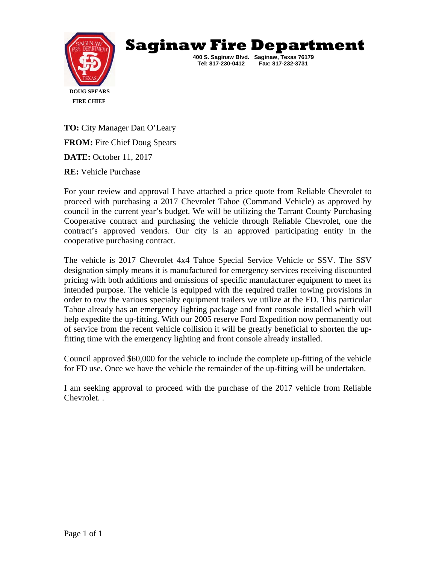



**TO:** City Manager Dan O'Leary **FROM:** Fire Chief Doug Spears **DATE:** October 11, 2017

**RE:** Vehicle Purchase

For your review and approval I have attached a price quote from Reliable Chevrolet to proceed with purchasing a 2017 Chevrolet Tahoe (Command Vehicle) as approved by council in the current year's budget. We will be utilizing the Tarrant County Purchasing Cooperative contract and purchasing the vehicle through Reliable Chevrolet, one the contract's approved vendors. Our city is an approved participating entity in the cooperative purchasing contract.

The vehicle is 2017 Chevrolet 4x4 Tahoe Special Service Vehicle or SSV. The SSV designation simply means it is manufactured for emergency services receiving discounted pricing with both additions and omissions of specific manufacturer equipment to meet its intended purpose. The vehicle is equipped with the required trailer towing provisions in order to tow the various specialty equipment trailers we utilize at the FD. This particular Tahoe already has an emergency lighting package and front console installed which will help expedite the up-fitting. With our 2005 reserve Ford Expedition now permanently out of service from the recent vehicle collision it will be greatly beneficial to shorten the upfitting time with the emergency lighting and front console already installed.

Council approved \$60,000 for the vehicle to include the complete up-fitting of the vehicle for FD use. Once we have the vehicle the remainder of the up-fitting will be undertaken.

I am seeking approval to proceed with the purchase of the 2017 vehicle from Reliable Chevrolet. .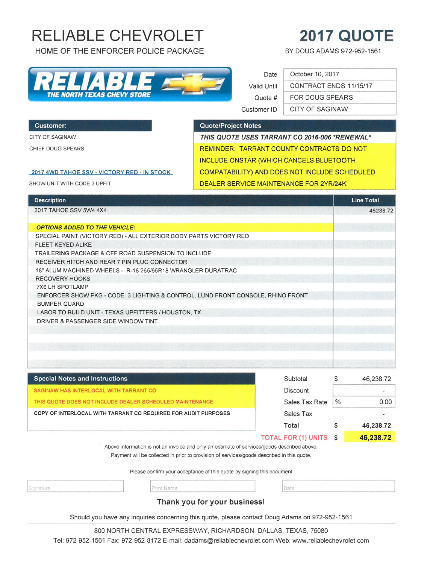# **RELIABLE CHEVROLET**

HOME OF THE ENFORCER POLICE PACKAGE

# **2017 QUOTE**

BY DOUG ADAMS 972-952-1561

|                                    |  |  |  | $\blacksquare$ |  |  |  |  |  |
|------------------------------------|--|--|--|----------------|--|--|--|--|--|
| <b>THE NORTH TEXAS CHEVY STORE</b> |  |  |  |                |  |  |  |  |  |

# Date Valid Until Quote # Customer ID

|  | October 10, 2017       |
|--|------------------------|
|  | CONTRACT ENDS 11/15/17 |
|  | <b>FOR DOUG SPEARS</b> |
|  | <b>CITY OF SAGINAW</b> |

#### **Customer:**

CITY OF SAGINAW

CHIEF DOUG SPEARS

#### Quote/Project Notes

THIS QUOTE USES TARRANT CO 2016-006 \*RENEWAL\* REMINDER: TARRANT COUNTY CONTRACTS DO NOT **INCLUDE ONSTAR (WHICH CANCELS BLUETOOTH** COMPATABILITY) AND DOES NOT INCLUDE SCHEDULED DEALER SERVICE MAINTENANCE FOR 2YR/24K

#### 2017 4WD TAHOE SSV - VICTORY RED - IN STOCK

SHOW UNIT WITH CODE 3 UPFIT

| <b>Description</b>                                                             | <b>Line Total</b> |
|--------------------------------------------------------------------------------|-------------------|
| 2017 TAHOE SSV 5W4 4X4                                                         | 46238.72          |
|                                                                                |                   |
| <b>OPTIONS ADDED TO THE VEHICLE:</b>                                           |                   |
| SPECIAL PAINT (VICTORY RED) - ALL EXTERIOR BODY PARTS VICTORY RED              |                   |
| FLEET KEYED ALIKE                                                              |                   |
| TRAILERING PACKAGE & OFF ROAD SUSPENSION TO INCLUDE:                           |                   |
| RECEIVER HITCH AND REAR 7 PIN PLUG CONNECTOR                                   |                   |
| 18" ALUM MACHINED WHEELS - R-18 265/65R18 WRANGLER DURATRAC                    |                   |
| <b>RECOVERY HOOKS</b>                                                          |                   |
| 7X6 LH SPOTLAMP                                                                |                   |
| ENFORCER SHOW PKG - CODE 3 LIGHTING & CONTROL, LUND FRONT CONSOLE, RHINO FRONT |                   |
| <b>BUMPER GUARD</b>                                                            |                   |
| LABOR TO BUILD UNIT - TEXAS UPFITTERS / HOUSTON, TX                            |                   |
| DRIVER & PASSENGER SIDE WINDOW TINT                                            |                   |
|                                                                                |                   |
|                                                                                |                   |
|                                                                                |                   |
|                                                                                |                   |
|                                                                                |                   |

| <b>Special Notes and Instructions</b>                                                      | Subtotal               | Φ             | 46,238.72                |  |
|--------------------------------------------------------------------------------------------|------------------------|---------------|--------------------------|--|
| SAGINAW HAS INTERLOCAL WITH TARRANT CO.                                                    | <b>Discount</b>        |               |                          |  |
| THIS QUOTE DOES NOT INCLUDE DEALER SCHEDULED MAINTENANCE                                   | Sales Tax Rate         | $\frac{0}{0}$ | 0.00                     |  |
| COPY OF INTERLOCAL WITH TARRANT CO REQUIRED FOR AUDIT PURPOSES<br>Sales Tax                |                        |               | $\overline{\phantom{0}}$ |  |
|                                                                                            | Total                  |               | 46,238.72                |  |
|                                                                                            | TOTAL FOR (1) UNITS \$ |               | 46,238.72                |  |
| Above information is not an invoice and only an estimate of services/goods described above |                        |               |                          |  |

Payment will be collected in prior to provision of services/goods described in this quote.

Please confirm your acceptance of this quote by signing this document

ignature

Print Name

# Date

# Thank you for your business!

Should you have any inquiries concerning this quote, please contact Doug Adams on 972-952-1561

800 NORTH CENTRAL EXPRESSWAY, RICHARDSON, DALLAS, TEXAS, 75080

Tel: 972-952-1561 Fax: 972-952-8172 E-mail: dadams@reliablechevrolet.com Web: www.reliablechevrolet.com